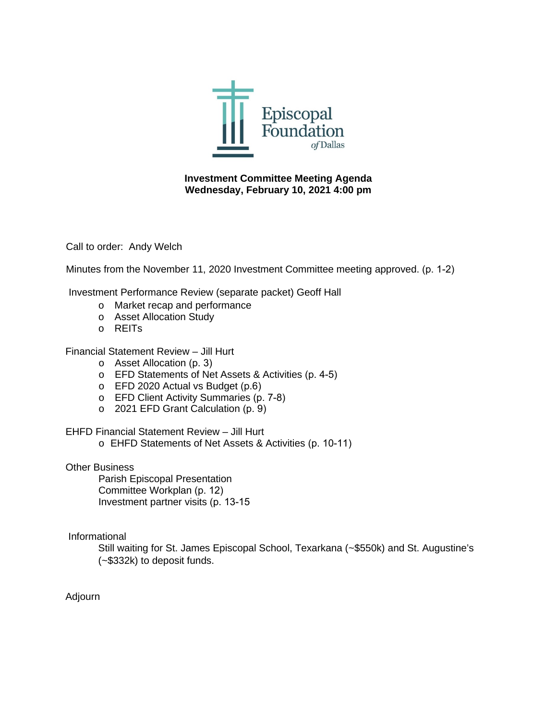

# **Investment Committee Meeting Agenda Wednesday, February 10, 2021 4:00 pm**

Call to order: Andy Welch

Minutes from the November 11, 2020 Investment Committee meeting approved. (p. 1-2)

Investment Performance Review (separate packet) Geoff Hall

- o Market recap and performance
- o Asset Allocation Study
- o REITs

Financial Statement Review – Jill Hurt

- o Asset Allocation (p. 3)
- o EFD Statements of Net Assets & Activities (p. 4-5)
- o EFD 2020 Actual vs Budget (p.6)
- o EFD Client Activity Summaries (p. 7-8)
- o 2021 EFD Grant Calculation (p. 9)

EHFD Financial Statement Review – Jill Hurt

o EHFD Statements of Net Assets & Activities (p. 10-11)

#### Other Business

Parish Episcopal Presentation Committee Workplan (p. 12) Investment partner visits (p. 13-15

#### Informational

Still waiting for St. James Episcopal School, Texarkana (~\$550k) and St. Augustine's (~\$332k) to deposit funds.

Adjourn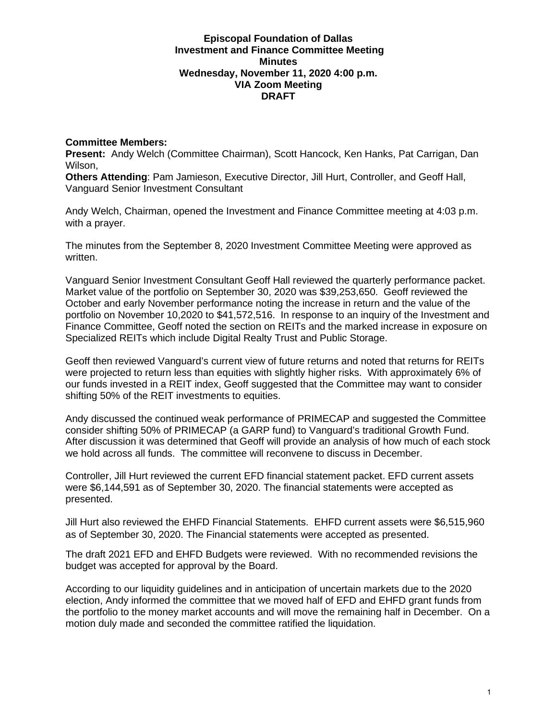#### **Episcopal Foundation of Dallas Investment and Finance Committee Meeting Minutes Wednesday, November 11, 2020 4:00 p.m. VIA Zoom Meeting DRAFT**

#### **Committee Members:**

**Present:** Andy Welch (Committee Chairman), Scott Hancock, Ken Hanks, Pat Carrigan, Dan Wilson,

**Others Attending**: Pam Jamieson, Executive Director, Jill Hurt, Controller, and Geoff Hall, Vanguard Senior Investment Consultant

Andy Welch, Chairman, opened the Investment and Finance Committee meeting at 4:03 p.m. with a prayer.

The minutes from the September 8, 2020 Investment Committee Meeting were approved as written.

Vanguard Senior Investment Consultant Geoff Hall reviewed the quarterly performance packet. Market value of the portfolio on September 30, 2020 was \$39,253,650. Geoff reviewed the October and early November performance noting the increase in return and the value of the portfolio on November 10,2020 to \$41,572,516. In response to an inquiry of the Investment and Finance Committee, Geoff noted the section on REITs and the marked increase in exposure on Specialized REITs which include Digital Realty Trust and Public Storage.

Geoff then reviewed Vanguard's current view of future returns and noted that returns for REITs were projected to return less than equities with slightly higher risks. With approximately 6% of our funds invested in a REIT index, Geoff suggested that the Committee may want to consider shifting 50% of the REIT investments to equities.

Andy discussed the continued weak performance of PRIMECAP and suggested the Committee consider shifting 50% of PRIMECAP (a GARP fund) to Vanguard's traditional Growth Fund. After discussion it was determined that Geoff will provide an analysis of how much of each stock we hold across all funds. The committee will reconvene to discuss in December.

Controller, Jill Hurt reviewed the current EFD financial statement packet. EFD current assets were \$6,144,591 as of September 30, 2020. The financial statements were accepted as presented.

Jill Hurt also reviewed the EHFD Financial Statements. EHFD current assets were \$6,515,960 as of September 30, 2020. The Financial statements were accepted as presented.

The draft 2021 EFD and EHFD Budgets were reviewed. With no recommended revisions the budget was accepted for approval by the Board.

According to our liquidity guidelines and in anticipation of uncertain markets due to the 2020 election, Andy informed the committee that we moved half of EFD and EHFD grant funds from the portfolio to the money market accounts and will move the remaining half in December. On a motion duly made and seconded the committee ratified the liquidation.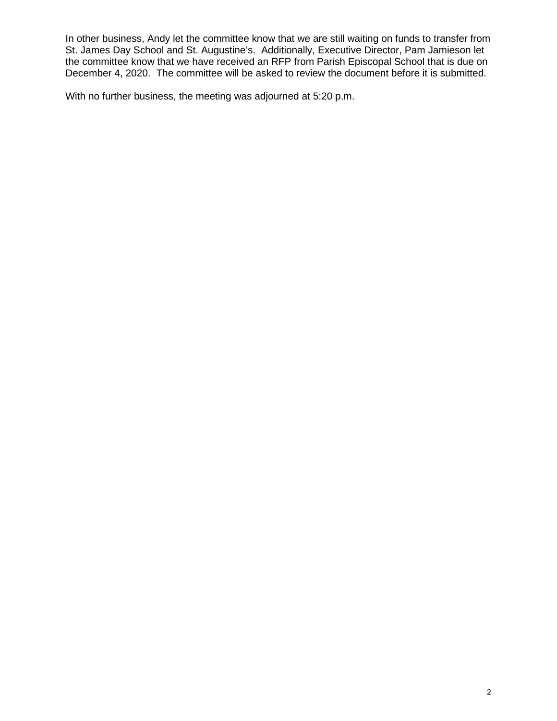In other business, Andy let the committee know that we are still waiting on funds to transfer from St. James Day School and St. Augustine's. Additionally, Executive Director, Pam Jamieson let the committee know that we have received an RFP from Parish Episcopal School that is due on December 4, 2020. The committee will be asked to review the document before it is submitted.

With no further business, the meeting was adjourned at 5:20 p.m.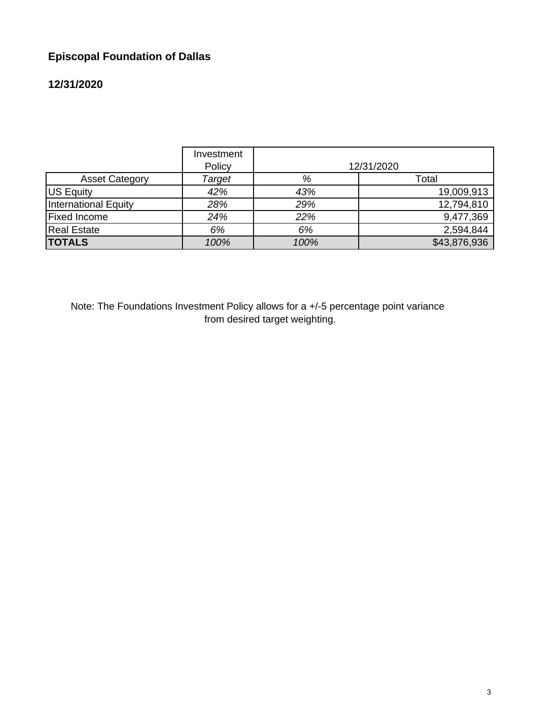# **Episcopal Foundation of Dallas**

# **12/31/2020**

|                       | Investment<br>Policy |      | 12/31/2020   |
|-----------------------|----------------------|------|--------------|
| <b>Asset Category</b> | Target               | %    | Total        |
| US Equity             | 42%                  | 43%  | 19,009,913   |
| International Equity  | 28%                  | 29%  | 12,794,810   |
| <b>Fixed Income</b>   | 24%                  | 22%  | 9,477,369    |
| <b>Real Estate</b>    | 6%                   | 6%   | 2,594,844    |
| <b>TOTALS</b>         | 100%                 | 100% | \$43,876,936 |

Note: The Foundations Investment Policy allows for a +/-5 percentage point variance from desired target weighting.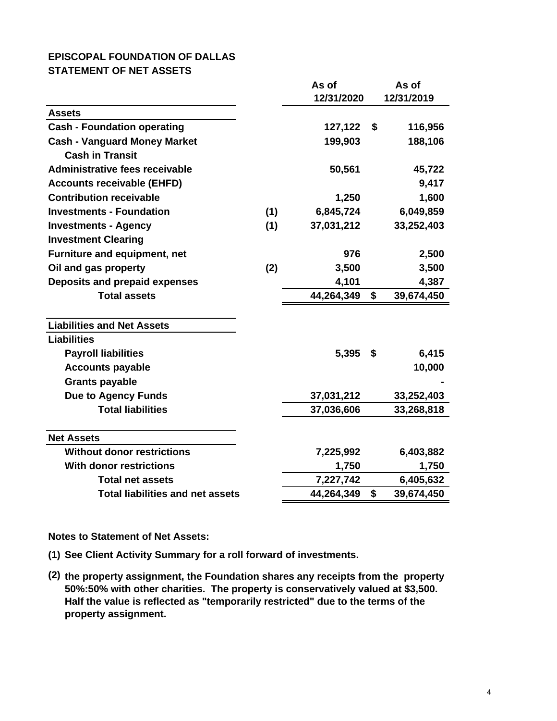#### **EPISCOPAL FOUNDATION OF DALLAS STATEMENT OF NET ASSETS**

|                                         |     | As of      | As of            |
|-----------------------------------------|-----|------------|------------------|
|                                         |     | 12/31/2020 | 12/31/2019       |
| <b>Assets</b>                           |     |            |                  |
| <b>Cash - Foundation operating</b>      |     | 127,122    | \$<br>116,956    |
| <b>Cash - Vanguard Money Market</b>     |     | 199,903    | 188,106          |
| <b>Cash in Transit</b>                  |     |            |                  |
| Administrative fees receivable          |     | 50,561     | 45,722           |
| <b>Accounts receivable (EHFD)</b>       |     |            | 9,417            |
| <b>Contribution receivable</b>          |     | 1,250      | 1,600            |
| <b>Investments - Foundation</b>         | (1) | 6,845,724  | 6,049,859        |
| <b>Investments - Agency</b>             | (1) | 37,031,212 | 33,252,403       |
| <b>Investment Clearing</b>              |     |            |                  |
| Furniture and equipment, net            |     | 976        | 2,500            |
| Oil and gas property                    | (2) | 3,500      | 3,500            |
| Deposits and prepaid expenses           |     | 4,101      | 4,387            |
| <b>Total assets</b>                     |     | 44,264,349 | \$<br>39,674,450 |
| <b>Liabilities and Net Assets</b>       |     |            |                  |
| <b>Liabilities</b>                      |     |            |                  |
| <b>Payroll liabilities</b>              |     | 5,395      | \$<br>6,415      |
| <b>Accounts payable</b>                 |     |            | 10,000           |
| <b>Grants payable</b>                   |     |            |                  |
| <b>Due to Agency Funds</b>              |     | 37,031,212 | 33,252,403       |
| <b>Total liabilities</b>                |     | 37,036,606 | 33,268,818       |
|                                         |     |            |                  |
| <b>Net Assets</b>                       |     |            |                  |
| <b>Without donor restrictions</b>       |     | 7,225,992  | 6,403,882        |
| <b>With donor restrictions</b>          |     | 1,750      | 1,750            |
| <b>Total net assets</b>                 |     | 7,227,742  | 6,405,632        |
| <b>Total liabilities and net assets</b> |     | 44,264,349 | \$<br>39,674,450 |

**Notes to Statement of Net Assets:**

- **(1) See Client Activity Summary for a roll forward of investments.**
- **(2) the property assignment, the Foundation shares any receipts from the property 50%:50% with other charities. The property is conservatively valued at \$3,500. Half the value is reflected as "temporarily restricted" due to the terms of the property assignment.**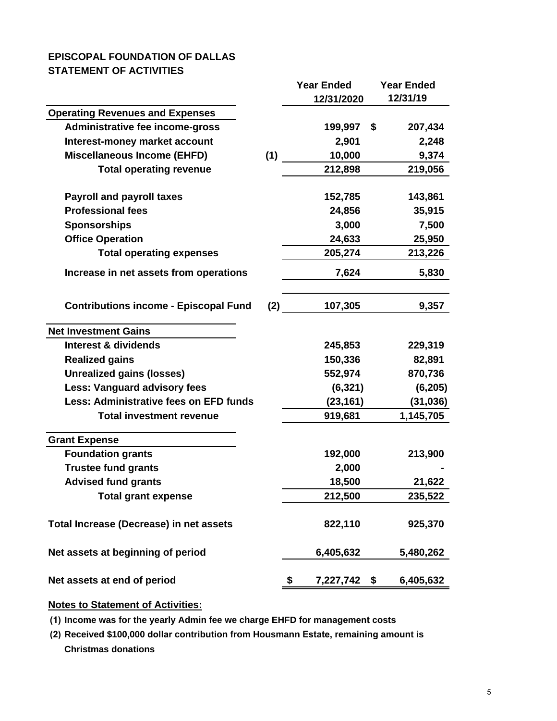# **EPISCOPAL FOUNDATION OF DALLAS STATEMENT OF ACTIVITIES**

|                                               |     | <b>Year Ended</b> | <b>Year Ended</b> |
|-----------------------------------------------|-----|-------------------|-------------------|
|                                               |     | 12/31/2020        | 12/31/19          |
| <b>Operating Revenues and Expenses</b>        |     |                   |                   |
| Administrative fee income-gross               |     | 199,997           | 207,434<br>\$     |
| Interest-money market account                 |     | 2,901             | 2,248             |
| <b>Miscellaneous Income (EHFD)</b>            | (1) | 10,000            | 9,374             |
| <b>Total operating revenue</b>                |     | 212,898           | 219,056           |
| <b>Payroll and payroll taxes</b>              |     | 152,785           | 143,861           |
| <b>Professional fees</b>                      |     | 24,856            | 35,915            |
| <b>Sponsorships</b>                           |     | 3,000             | 7,500             |
| <b>Office Operation</b>                       |     | 24,633            | 25,950            |
| <b>Total operating expenses</b>               |     | 205,274           | 213,226           |
| Increase in net assets from operations        |     | 7,624             | 5,830             |
| <b>Contributions income - Episcopal Fund</b>  | (2) | 107,305           | 9,357             |
| <b>Net Investment Gains</b>                   |     |                   |                   |
| <b>Interest &amp; dividends</b>               |     | 245,853           | 229,319           |
| <b>Realized gains</b>                         |     | 150,336           | 82,891            |
| <b>Unrealized gains (losses)</b>              |     | 552,974           | 870,736           |
| <b>Less: Vanguard advisory fees</b>           |     | (6, 321)          | (6, 205)          |
| <b>Less: Administrative fees on EFD funds</b> |     | (23, 161)         | (31, 036)         |
| <b>Total investment revenue</b>               |     | 919,681           | 1,145,705         |
| <b>Grant Expense</b>                          |     |                   |                   |
| <b>Foundation grants</b>                      |     | 192,000           | 213,900           |
| <b>Trustee fund grants</b>                    |     | 2,000             |                   |
| <b>Advised fund grants</b>                    |     | 18,500            | 21,622            |
| <b>Total grant expense</b>                    |     | 212,500           | 235,522           |
| Total Increase (Decrease) in net assets       |     | 822,110           | 925,370           |
| Net assets at beginning of period             |     | 6,405,632         | 5,480,262         |
| Net assets at end of period                   |     | 7,227,742<br>\$   | 6,405,632<br>\$   |

## **Notes to Statement of Activities:**

**(1) Income was for the yearly Admin fee we charge EHFD for management costs**

**(2) Received \$100,000 dollar contribution from Housmann Estate, remaining amount is Christmas donations**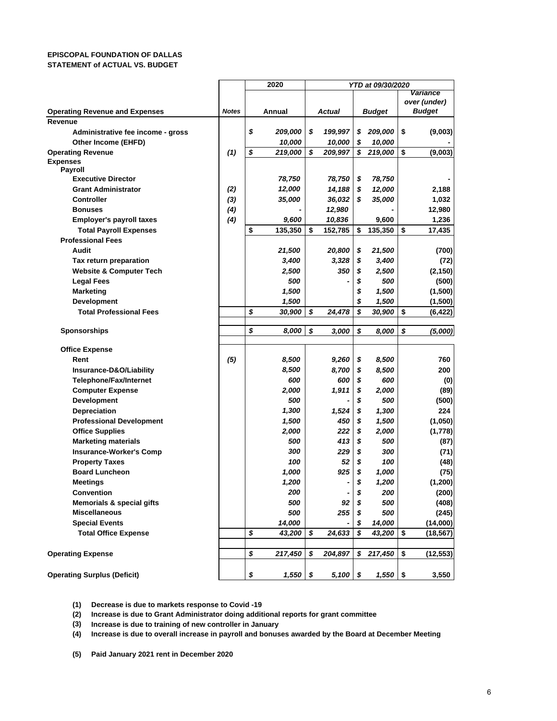#### **EPISCOPAL FOUNDATION OF DALLAS STATEMENT of ACTUAL VS. BUDGET**

|                                                |              | 2020             | YTD at 09/30/2020 |            |    |              |                 |
|------------------------------------------------|--------------|------------------|-------------------|------------|----|--------------|-----------------|
|                                                |              |                  |                   |            |    |              | Variance        |
|                                                |              |                  |                   |            |    |              | over (under)    |
| <b>Operating Revenue and Expenses</b>          | <b>Notes</b> | Annual           |                   | Actual     |    | Budget       | <b>Budget</b>   |
| Revenue                                        |              |                  |                   |            |    |              |                 |
| Administrative fee income - gross              |              | \$<br>209,000    | \$                | 199,997    | \$ | 209,000      | \$<br>(9,003)   |
| Other Income (EHFD)                            |              | 10,000           |                   | 10,000     | \$ | 10,000       |                 |
| <b>Operating Revenue</b>                       | (1)          | \$<br>219,000    | \$                | 209,997    | \$ | 219,000      | \$<br>(9,003)   |
| <b>Expenses</b><br><b>Payroll</b>              |              |                  |                   |            |    |              |                 |
| <b>Executive Director</b>                      |              | 78,750           |                   | 78,750     | \$ | 78,750       |                 |
| <b>Grant Administrator</b>                     | (2)          | 12,000           |                   | 14,188     | \$ | 12,000       | 2,188           |
| <b>Controller</b>                              | (3)          | 35,000           |                   | 36,032     | \$ | 35,000       | 1,032           |
| <b>Bonuses</b>                                 | (4)          |                  |                   | 12,980     |    |              | 12,980          |
|                                                |              |                  |                   |            |    | 9,600        | 1,236           |
| <b>Employer's payroll taxes</b>                | (4)          | 9,600            |                   | 10,836     |    |              |                 |
| <b>Total Payroll Expenses</b>                  |              | \$<br>135,350    | S                 | 152,785    | \$ | 135,350      | \$<br>17,435    |
| <b>Professional Fees</b>                       |              |                  |                   |            |    |              |                 |
| Audit                                          |              | 21,500           |                   | 20,800     | \$ | 21,500       | (700)           |
| Tax return preparation                         |              | 3,400            |                   | 3,328      | \$ | 3,400        | (72)            |
| <b>Website &amp; Computer Tech</b>             |              | 2,500            |                   | 350        | \$ | 2,500        | (2, 150)        |
| <b>Legal Fees</b>                              |              | 500              |                   |            | \$ | 500          | (500)           |
| <b>Marketing</b>                               |              | 1,500            |                   |            | \$ | 1,500        | (1,500)         |
| <b>Development</b>                             |              | 1,500            |                   |            | \$ | 1,500        | (1,500)         |
| <b>Total Professional Fees</b>                 |              | \$<br>30,900     | \$                | 24,478     | \$ | 30,900       | \$<br>(6, 422)  |
|                                                |              | \$<br>8.000      |                   |            |    |              |                 |
| <b>Sponsorships</b>                            |              |                  | \$                | 3,000      | \$ | 8,000        | \$<br>(5,000)   |
| <b>Office Expense</b>                          |              |                  |                   |            |    |              |                 |
| Rent                                           | (5)          | 8,500            |                   | 9,260      | \$ | 8,500        | 760             |
| Insurance-D&O/Liability                        |              | 8,500            |                   | 8,700      | \$ | 8,500        | 200             |
| <b>Telephone/Fax/Internet</b>                  |              | 600              |                   | 600        | \$ | 600          | (0)             |
| <b>Computer Expense</b>                        |              | 2,000            |                   | 1,911      | \$ | 2,000        | (89)            |
| Development                                    |              | 500              |                   |            | \$ | 500          | (500)           |
| Depreciation                                   |              | 1,300            |                   | 1,524      | \$ | 1,300        | 224             |
| <b>Professional Development</b>                |              | 1,500            |                   | 450        | \$ | 1,500        | (1,050)         |
| <b>Office Supplies</b>                         |              | 2,000            |                   | 222        | \$ |              |                 |
|                                                |              | 500              |                   | 413        | \$ | 2,000<br>500 | (1,778)         |
| <b>Marketing materials</b>                     |              | 300              |                   | 229        | \$ | 300          | (87)            |
| <b>Insurance-Worker's Comp</b>                 |              |                  |                   |            |    |              | (71)            |
| <b>Property Taxes</b><br><b>Board Luncheon</b> |              | 100              |                   | 52<br>925  | \$ | 100          | (48)            |
|                                                |              | 1,000            |                   |            | \$ | 1,000        | (75)            |
| <b>Meetings</b>                                |              | 1,200            |                   | -          | \$ | 1,200        | (1,200)         |
| Convention                                     |              | 200              |                   |            | \$ | 200          | (200)           |
| <b>Memorials &amp; special gifts</b>           |              | 500              |                   | 92         | \$ | 500          | (408)           |
| <b>Miscellaneous</b>                           |              | 500              |                   | 255        | \$ | 500          | (245)           |
| <b>Special Events</b>                          |              | 14,000           |                   |            | \$ | 14,000       | (14,000)        |
| <b>Total Office Expense</b>                    |              | \$<br>43,200     | \$                | 24,633     | \$ | 43,200       | \$<br>(18, 567) |
|                                                |              |                  |                   |            |    |              |                 |
| <b>Operating Expense</b>                       |              | \$<br>217,450    | \$                | 204,897    | \$ | 217,450      | \$<br>(12, 553) |
|                                                |              |                  |                   |            |    |              |                 |
| <b>Operating Surplus (Deficit)</b>             |              | \$<br>$1,550$ \$ |                   | $5,100$ \$ |    | $1,550$ \$   | 3,550           |

**(1) Decrease is due to markets response to Covid -19**

**(2) Increase is due to Grant Administrator doing additional reports for grant committee**

**(3) Increase is due to training of new controller in January**

**(4) Increase is due to overall increase in payroll and bonuses awarded by the Board at December Meeting**

**(5) Paid January 2021 rent in December 2020**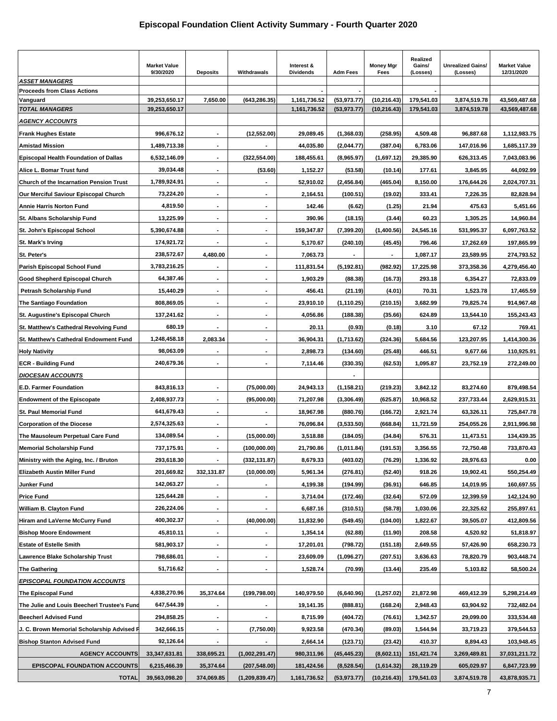|                                                | <b>Market Value</b><br>9/30/2020 | <b>Deposits</b>          | Withdrawals              | Interest &<br><b>Dividends</b> | <b>Adm Fees</b>              | <b>Money Mgr</b><br>Fees     | Realized<br>Gains/<br>(Losses) | <b>Unrealized Gains/</b><br>(Losses) | <b>Market Value</b><br>12/31/2020 |
|------------------------------------------------|----------------------------------|--------------------------|--------------------------|--------------------------------|------------------------------|------------------------------|--------------------------------|--------------------------------------|-----------------------------------|
| ASSET MANAGERS                                 |                                  |                          |                          |                                |                              |                              |                                |                                      |                                   |
| <b>Proceeds from Class Actions</b><br>Vanguard |                                  |                          |                          |                                |                              |                              | 179,541.03                     | 3,874,519.78                         |                                   |
| <b>TOTAL MANAGERS</b>                          | 39,253,650.17<br>39,253,650.17   | 7,650.00                 | (643, 286.35)            | 1,161,736.52<br>1,161,736.52   | (53, 973.77)<br>(53, 973.77) | (10, 216.43)<br>(10, 216.43) | 179,541.03                     | 3,874,519.78                         | 43,569,487.68<br>43,569,487.68    |
| <u>AGENCY ACCOUNTS</u>                         |                                  |                          |                          |                                |                              |                              |                                |                                      |                                   |
| <b>Frank Hughes Estate</b>                     | 996,676.12                       |                          | (12, 552.00)             | 29,089.45                      | (1,368.03)                   | (258.95)                     | 4,509.48                       | 96,887.68                            | 1,112,983.75                      |
| <b>Amistad Mission</b>                         | 1,489,713.38                     | $\blacksquare$           |                          | 44,035.80                      | (2,044.77)                   | (387.04)                     | 6,783.06                       | 147,016.96                           | 1,685,117.39                      |
| <b>Episcopal Health Foundation of Dallas</b>   | 6,532,146.09                     | ٠                        | (322, 554.00)            | 188,455.61                     | (8,965.97)                   | (1,697.12)                   | 29,385.90                      | 626,313.45                           | 7,043,083.96                      |
| Alice L. Bomar Trust fund                      | 39,034.48                        | $\blacksquare$           | (53.60)                  | 1,152.27                       | (53.58)                      | (10.14)                      | 177.61                         | 3,845.95                             | 44,092.99                         |
| Church of the Incarnation Pension Trust        | 1,789,924.91                     | ä,                       |                          | 52,910.02                      | (2, 456.84)                  | (465.04)                     | 8,150.00                       | 176,644.26                           | 2,024,707.31                      |
| Our Merciful Saviour Episcopal Church          | 73,224.20                        | ٠                        |                          | 2,164.51                       | (100.51)                     | (19.02)                      | 333.41                         | 7,226.35                             | 82,828.94                         |
| <b>Annie Harris Norton Fund</b>                | 4,819.50                         | $\blacksquare$           |                          | 142.46                         | (6.62)                       | (1.25)                       | 21.94                          | 475.63                               | 5,451.66                          |
| St. Albans Scholarship Fund                    | 13,225.99                        | ٠                        |                          | 390.96                         | (18.15)                      | (3.44)                       | 60.23                          | 1,305.25                             | 14,960.84                         |
| St. John's Episcopal School                    | 5,390,674.88                     | $\blacksquare$           | $\blacksquare$           | 159,347.87                     | (7, 399.20)                  | (1,400.56)                   | 24,545.16                      | 531,995.37                           | 6,097,763.52                      |
| St. Mark's Irving                              | 174,921.72                       |                          | $\blacksquare$           | 5,170.67                       | (240.10)                     | (45.45)                      | 796.46                         |                                      | 197,865.99                        |
|                                                | 238,572.67                       | 4,480.00                 | $\overline{\phantom{a}}$ | 7,063.73                       |                              |                              | 1,087.17                       | 17,262.69                            |                                   |
| St. Peter's                                    |                                  |                          |                          |                                |                              |                              |                                | 23,589.95                            | 274,793.52                        |
| Parish Episcopal School Fund                   | 3,783,216.25                     | ä,                       | $\blacksquare$           | 111,831.54                     | (5, 192.81)                  | (982.92)                     | 17,225.98                      | 373,358.36                           | 4,279,456.40                      |
| Good Shepherd Episcopal Church                 | 64,387.46                        | ٠                        |                          | 1,903.29                       | (88.38)                      | (16.73)                      | 293.18                         | 6,354.27                             | 72,833.09                         |
| Petrash Scholarship Fund                       | 15,440.29                        | $\blacksquare$           | $\blacksquare$           | 456.41                         | (21.19)                      | (4.01)                       | 70.31                          | 1,523.78                             | 17,465.59                         |
| The Santiago Foundation                        | 808,869.05                       | $\blacksquare$           | ٠                        | 23,910.10                      | (1, 110.25)                  | (210.15)                     | 3,682.99                       | 79,825.74                            | 914,967.48                        |
| St. Augustine's Episcopal Church               | 137,241.62                       | ٠                        | $\blacksquare$           | 4,056.86                       | (188.38)                     | (35.66)                      | 624.89                         | 13,544.10                            | 155,243.43                        |
| St. Matthew's Cathedral Revolving Fund         | 680.19                           | $\overline{\phantom{a}}$ | $\blacksquare$           | 20.11                          | (0.93)                       | (0.18)                       | 3.10                           | 67.12                                | 769.41                            |
| St. Matthew's Cathedral Endowment Fund         | 1,248,458.18                     | 2,083.34                 | $\blacksquare$           | 36,904.31                      | (1,713.62)                   | (324.36)                     | 5,684.56                       | 123,207.95                           | 1,414,300.36                      |
| <b>Holy Nativity</b>                           | 98,063.09                        |                          | $\overline{\phantom{a}}$ | 2,898.73                       | (134.60)                     | (25.48)                      | 446.51                         | 9,677.66                             | 110,925.91                        |
| <b>ECR - Building Fund</b>                     | 240,679.36                       |                          |                          | 7,114.46                       | (330.35)                     | (62.53)                      | 1,095.87                       | 23,752.19                            | 272,249.00                        |
| <b>DIOCESAN ACCOUNTS</b>                       |                                  |                          |                          |                                |                              |                              |                                |                                      |                                   |
| <b>E.D. Farmer Foundation</b>                  | 843,816.13                       |                          | (75,000.00)              | 24,943.13                      | (1, 158.21)                  | (219.23)                     | 3,842.12                       | 83,274.60                            | 879,498.54                        |
| <b>Endowment of the Episcopate</b>             | 2,408,937.73                     | $\blacksquare$           | (95,000.00)              | 71,207.98                      | (3,306.49)                   | (625.87)                     | 10,968.52                      | 237,733.44                           | 2,629,915.31                      |
| <b>St. Paul Memorial Fund</b>                  | 641,679.43                       | ä,                       |                          | 18,967.98                      | (880.76)                     | (166.72)                     | 2,921.74                       | 63,326.11                            | 725,847.78                        |
| <b>Corporation of the Diocese</b>              | 2,574,325.63                     | $\overline{\phantom{a}}$ |                          | 76,096.84                      | (3,533.50)                   | (668.84)                     | 11,721.59                      | 254,055.26                           | 2,911,996.98                      |
| The Mausoleum Perpetual Care Fund              | 134,089.54                       | $\blacksquare$           | (15,000.00)              | 3,518.88                       | (184.05)                     | (34.84)                      | 576.31                         | 11,473.51                            | 134,439.35                        |
| <b>Memorial Scholarship Fund</b>               | 737,175.91                       |                          | (100,000.00)             | 21,790.86                      | (1,011.84)                   | (191.53)                     | 3,356.55                       | 72,750.48                            | 733,870.43                        |
| Ministry with the Aging, Inc. / Bruton         | 293,618.30                       | ж.                       | (332,131.87)             | 8,679.33                       | (403.02)                     | (76.29)                      | 1,336.92                       | 28,976.63                            | 0.00                              |
| <b>Elizabeth Austin Miller Fund</b>            | 201,669.82                       | 332,131.87               | (10,000.00)              | 5,961.34                       | (276.81)                     | (52.40)                      | 918.26                         | 19,902.41                            | 550,254.49                        |
| Junker Fund                                    | 142,063.27                       | $\overline{\phantom{0}}$ | $\overline{\phantom{a}}$ | 4,199.38                       | (194.99)                     | (36.91)                      | 646.85                         | 14,019.95                            | 160,697.55                        |
| <b>Price Fund</b>                              | 125,644.28                       | $\blacksquare$           |                          | 3,714.04                       | (172.46)                     | (32.64)                      | 572.09                         | 12,399.59                            | 142,124.90                        |
| William B. Clayton Fund                        | 226,224.06                       | $\overline{\phantom{a}}$ |                          | 6,687.16                       | (310.51)                     | (58.78)                      | 1,030.06                       | 22,325.62                            | 255,897.61                        |
| Hiram and LaVerne McCurry Fund                 | 400,302.37                       |                          | (40,000.00)              | 11,832.90                      | (549.45)                     | (104.00)                     | 1,822.67                       | 39,505.07                            | 412,809.56                        |
| <b>Bishop Moore Endowment</b>                  | 45,810.11                        |                          |                          | 1,354.14                       | (62.88)                      | (11.90)                      | 208.58                         | 4,520.92                             | 51,818.97                         |
| <b>Estate of Estelle Smith</b>                 | 581,903.17                       | ٠                        | $\overline{\phantom{a}}$ | 17,201.01                      | (798.72)                     | (151.18)                     | 2,649.55                       | 57,426.90                            | 658,230.73                        |
| <b>Lawrence Blake Scholarship Trust</b>        | 798,686.01                       | ٠                        | $\blacksquare$           | 23,609.09                      | (1,096.27)                   | (207.51)                     | 3,636.63                       | 78,820.79                            | 903,448.74                        |
| <b>The Gathering</b>                           | 51,716.62                        | ٠                        |                          | 1,528.74                       | (70.99)                      | (13.44)                      | 235.49                         | 5,103.82                             | 58,500.24                         |
| <b>EPISCOPAL FOUNDATION ACCOUNTS</b>           |                                  |                          |                          |                                |                              |                              |                                |                                      |                                   |
| The Episcopal Fund                             | 4,838,270.96                     | 35,374.64                | (199, 798.00)            | 140,979.50                     | (6,640.96)                   | (1,257.02)                   | 21,872.98                      | 469,412.39                           | 5,298,214.49                      |
| The Julie and Louis Beecherl Trustee's Fund    | 647,544.39                       | ٠                        |                          | 19,141.35                      | (888.81)                     | (168.24)                     | 2,948.43                       | 63,904.92                            | 732,482.04                        |
| <b>Beecherl Advised Fund</b>                   | 294,858.25                       |                          |                          | 8,715.99                       | (404.72)                     | (76.61)                      | 1,342.57                       | 29,099.00                            | 333,534.48                        |
| J. C. Brown Memorial Scholarship Advised F     | 342,666.15                       |                          | (7,750.00)               | 9,923.58                       | (470.34)                     | (89.03)                      | 1,544.94                       | 33,719.23                            | 379,544.53                        |
| <b>Bishop Stanton Advised Fund</b>             | 92,126.64                        |                          |                          | 2,664.14                       | (123.71)                     | (23.42)                      | 410.37                         | 8,894.43                             | 103,948.45                        |
| <b>AGENCY ACCOUNTS</b>                         | 33,347,631.81                    | 338,695.21               | (1,002,291.47)           | 980,311.96                     | (45, 445.23)                 | (8,602.11)                   | 151,421.74                     | 3,269,489.81                         | 37,031,211.72                     |
| <b>EPISCOPAL FOUNDATION ACCOUNTS</b>           | 6,215,466.39                     | 35,374.64                | (207, 548.00)            | 181,424.56                     | (8,528.54)                   | (1,614.32)                   | 28,119.29                      | 605,029.97                           | 6,847,723.99                      |
| <b>TOTAL</b>                                   | 39,563,098.20                    | 374,069.85               | (1,209,839.47)           | 1,161,736.52                   | (53, 973.77)                 | (10, 216.43)                 | 179,541.03                     | 3,874,519.78                         | 43,878,935.71                     |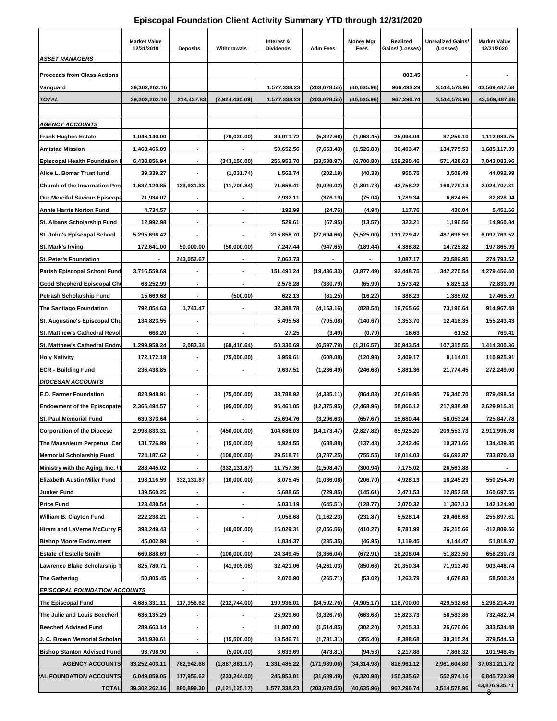#### **Episcopal Foundation Client Activity Summary YTD through 12/31/2020**

| <b>ASSET MANAGERS</b>                                              | <b>Market Value</b><br>12/31/2019 | <b>Deposits</b>              | Withdrawals      | Interest &<br><b>Dividends</b> | <b>Adm Fees</b>            | <b>Money Mgr</b><br>Fees | Realized<br>Gains/ (Losses) | <b>Unrealized Gains</b><br>(Losses) | <b>Market Value</b><br>12/31/2020 |
|--------------------------------------------------------------------|-----------------------------------|------------------------------|------------------|--------------------------------|----------------------------|--------------------------|-----------------------------|-------------------------------------|-----------------------------------|
|                                                                    |                                   |                              |                  |                                |                            |                          |                             |                                     |                                   |
| <b>Proceeds from Class Actions</b>                                 |                                   |                              |                  |                                |                            |                          | 803.45                      |                                     |                                   |
| Vanguard                                                           | 39,302,262.16                     |                              |                  | 1,577,338.23                   | (203, 678.55)              | (40, 635.96)             | 966,493.29                  | 3,514,578.96                        | 43,569,487.68                     |
| <b>TOTAL</b>                                                       | 39,302,262.16                     | 214,437.83                   | (2,924,430.09)   | 1,577,338.23                   | (203,678.55)               | (40, 635.96)             | 967,296.74                  | 3,514,578.96                        | 43,569,487.68                     |
|                                                                    |                                   |                              |                  |                                |                            |                          |                             |                                     |                                   |
| <b>AGENCY ACCOUNTS</b>                                             |                                   |                              |                  |                                |                            |                          |                             |                                     |                                   |
| <b>Frank Hughes Estate</b>                                         | 1,046,140.00                      | $\blacksquare$               | (79,030.00)      | 39,911.72                      | (5,327.66)                 | (1,063.45)               | 25,094.04                   | 87,259.10                           | 1,112,983.75                      |
| <b>Amistad Mission</b>                                             | 1,463,466.09                      |                              |                  | 59,652.56                      | (7,653.43)                 | (1,526.83)               | 36,403.47                   | 134,775.53                          | 1,685,117.39                      |
| <b>Episcopal Health Foundation</b>                                 | 6,438,856.94                      |                              | (343, 156.00)    | 256,953.70                     | (33,588.97)                | (6,700.80)               | 159,290.46                  | 571,428.63                          | 7,043,083.96                      |
| Alice L. Bomar Trust fund                                          | 39,339.27                         |                              | (1,031.74)       | 1,562.74                       | (202.19)                   | (40.33)                  | 955.75                      | 3,509.49                            | 44,092.99                         |
| Church of the Incarnation Pen                                      | 1,637,120.85                      | 133,931.33                   | (11,709.84)      | 71,658.41                      | (9,029.02)                 | (1,801.78)               | 43,758.22                   | 160,779.14                          | 2,024,707.31                      |
| <b>Our Merciful Saviour Episcopa</b>                               | 71,934.07                         |                              |                  | 2,932.11                       | (376.19)                   | (75.04)                  | 1,789.34                    | 6,624.65                            | 82,828.94                         |
| <b>Annie Harris Norton Fund</b>                                    | 4,734.57                          |                              | $\blacksquare$   | 192.99                         | (24.76)                    | (4.94)                   | 117.76                      | 436.04                              | 5,451.66                          |
| St. Albans Scholarship Fund                                        | 12,992.98                         |                              |                  | 529.61                         | (67.95)                    | (13.57)                  | 323.21                      | 1,196.56                            | 14.960.84                         |
| St. John's Episcopal School                                        | 5,295,696.42                      |                              |                  | 215,858.70                     | (27,694.66)                | (5,525.00)               | 131,729.47                  | 487,698.59                          | 6,097,763.52                      |
| <b>St. Mark's Irving</b>                                           | 172,641.00                        | 50,000.00                    | (50,000.00)      | 7,247.44                       | (947.65)                   | (189.44)                 | 4,388.82                    | 14,725.82                           | 197,865.99                        |
| <b>St. Peter's Foundation</b>                                      |                                   | 243,052.67                   |                  | 7.063.73                       |                            |                          | 1,087.17                    | 23,589.95                           | 274,793.52                        |
| <b>Parish Episcopal School Fund</b>                                | 3,716,559.69                      |                              |                  | 151,491.24                     | (19, 436.33)               | (3,877.49)               | 92,448.75                   | 342,270.54                          | 4,279,456.40                      |
| Good Shepherd Episcopal Chu                                        | 63,252.99                         | $\blacksquare$               | $\blacksquare$   | 2,578.28                       | (330.79)                   | (65.99)                  | 1,573.42                    | 5,825.18                            | 72,833.09                         |
| Petrash Scholarship Fund                                           | 15,669.68                         |                              | (500.00)         | 622.13                         | (81.25)                    | (16.22)                  | 386.23                      | 1,385.02                            | 17,465.59                         |
| The Santiago Foundation                                            | 792,854.63                        | 1,743.47                     |                  | 32,388.78                      | (4, 153.16)                | (828.54)                 | 19,765.66                   | 73,196.64                           | 914,967.48                        |
| St. Augustine's Episcopal Chu                                      | 134,823.55                        |                              |                  | 5,495.58                       | (705.08)                   | (140.67)                 | 3,353.70                    | 12,416.35                           | 155,243.43                        |
| St. Matthew's Cathedral Revol                                      | 668.20                            |                              | $\blacksquare$   | 27.25                          | (3.49)                     | (0.70)                   | 16.63                       | 61.52                               | 769.41                            |
| <b>St. Matthew's Cathedral Endoy</b>                               | 1,299,958.24                      | 2,083.34                     | (68, 416.64)     | 50,330.69                      | (6,597.79)                 | (1,316.57)               | 30,943.54                   | 107,315.55                          | 1,414,300.36                      |
| <b>Holy Nativity</b>                                               | 172,172.18                        |                              | (75,000.00)      | 3,959.61                       | (608.08)                   | (120.98)                 | 2,409.17                    | 8,114.01                            | 110,925.91                        |
| <b>ECR - Building Fund</b>                                         | 236,438.85                        |                              |                  | 9,637.51                       | (1, 236.49)                | (246.68)                 | 5,881.36                    | 21,774.45                           | 272,249.00                        |
| <b>DIOCESAN ACCOUNTS</b>                                           |                                   |                              |                  |                                |                            |                          |                             |                                     |                                   |
| <b>E.D. Farmer Foundation</b>                                      | 828,948.91                        |                              | (75,000.00)      | 33,788.92                      | (4,335.11)                 | (864.83)                 | 20,619.95                   | 76,340.70                           | 879,498.54                        |
| <b>Endowment of the Episcopate</b>                                 | 2,366,494.57                      | $\blacksquare$               | (95,000.00)      | 96,461.05                      | (12, 375.95)               | (2,468.96)               | 58,866.12                   | 217,938.48                          | 2,629,915.31                      |
| <b>St. Paul Memorial Fund</b><br><b>Corporation of the Diocese</b> | 630,373.64<br>2,998,833.31        |                              | (450,000.00)     | 25,694.76<br>104,686.03        | (3,296.63)<br>(14, 173.47) | (657.67)<br>(2,827.82)   | 15,680.44<br>65,925.20      | 58,053.24<br>209,553.73             | 725,847.78<br>2,911,996.98        |
| The Mausoleum Perpetual Car                                        |                                   |                              | (15,000.00)      | 4,924.55                       | (688.88)                   | (137.43)                 | 3,242.46                    | 10,371.66                           |                                   |
| <b>Memorial Scholarship Fund</b>                                   | 131,726.99<br>724,187.62          |                              | (100,000.00)     | 29,518.71                      |                            | (755.55)                 | 18,014.03                   | 66,692.87                           | 134,439.35<br>733,870.43          |
| Ministry with the Aging, Inc. / I                                  |                                   |                              | (332, 131.87)    | 11,757.36                      | (3,787.25)<br>(1,508.47)   |                          |                             | 26,563.88                           |                                   |
| Elizabeth Austin Miller Fund                                       | 288,445.02<br>198,116.59          | 332,131.87                   | (10,000.00)      | 8,075.45                       | (1,036.08)                 | (300.94)<br>(206.70)     | 7,175.02<br>4,928.13        | 18,245.23                           | 550,254.49                        |
| Junker Fund                                                        | 139,560.25                        |                              |                  | 5,688.65                       | (729.85)                   | (145.61)                 | 3,471.53                    | 12,852.58                           | 160,697.55                        |
| <b>Price Fund</b>                                                  | 123,430.54                        | $\blacksquare$               |                  | 5,031.19                       | (645.51)                   |                          | 3,070.32                    | 11,367.13                           | 142,124.90                        |
| William B. Clayton Fund                                            | 222,238.21                        |                              |                  | 9,058.68                       | (1, 162.23)                | (128.77)<br>(231.87)     | 5,528.14                    | 20,466.68                           | 255,897.61                        |
| Hiram and LaVerne McCurry F                                        | 393,249.43                        | $\qquad \qquad \blacksquare$ | (40,000.00)      | 16,029.31                      | (2,056.56)                 | (410.27)                 | 9,781.99                    | 36,215.66                           | 412,809.56                        |
| <b>Bishop Moore Endowment</b>                                      | 45,002.98                         | $\blacksquare$               |                  | 1,834.37                       | (235.35)                   | (46.95)                  | 1,119.45                    | 4,144.47                            | 51,818.97                         |
| <b>Estate of Estelle Smith</b>                                     | 669,888.69                        |                              | (100,000.00)     | 24,349.45                      | (3,366.04)                 | (672.91)                 | 16,208.04                   | 51,823.50                           | 658,230.73                        |
| Lawrence Blake Scholarship T                                       | 825,780.71                        |                              | (41, 905.08)     | 32,421.06                      | (4,261.03)                 | (850.66)                 | 20,350.34                   | 71,913.40                           | 903,448.74                        |
| <b>The Gathering</b>                                               | 50,805.45                         | $\blacksquare$               |                  | 2,070.90                       | (265.71)                   | (53.02)                  | 1,263.79                    | 4,678.83                            | 58,500.24                         |
| <b>EPISCOPAL FOUNDATION ACCOUNTS</b>                               |                                   |                              |                  |                                |                            |                          |                             |                                     |                                   |
| The Episcopal Fund                                                 | 4,685,331.11                      | 117,956.62                   | (212, 744.00)    | 190,936.01                     | (24, 592.76)               | (4,905.17)               | 116,700.00                  | 429,532.68                          | 5,298,214.49                      |
| The Julie and Louis Beecherl                                       | 636,135.29                        |                              |                  | 25,929.60                      | (3,326.76)                 | (663.68)                 | 15,823.73                   | 58,583.86                           | 732,482.04                        |
| <b>Beecherl Advised Fund</b>                                       | 289,663.14                        | ٠                            |                  | 11,807.00                      | (1,514.85)                 | (302.20)                 | 7,205.33                    | 26,676.06                           | 333,534.48                        |
| J. C. Brown Memorial Scholars                                      | 344,930.61                        | $\blacksquare$               | (15,500.00)      | 13,546.71                      | (1,781.31)                 | (355.40)                 | 8,388.68                    | 30,315.24                           | 379,544.53                        |
| <b>Bishop Stanton Advised Fund</b>                                 | 93,798.90                         |                              | (5,000.00)       | 3,633.69                       | (473.81)                   | (94.53)                  | 2,217.88                    | 7,866.32                            | 101,948.45                        |
| <b>AGENCY ACCOUNTS</b>                                             | 33,252,403.11                     | 762,942.68                   | (1,887,881.17)   | 1,331,485.22                   | (171,989.06)               | (34, 314.98)             | 816,961.12                  | 2,961,604.80                        | 37,031,211.72                     |
| AL FOUNDATION ACCOUNTS                                             | 6,049,859.05                      | 117,956.62                   | (233, 244.00)    | 245,853.01                     | (31, 689.49)               | (6,320.98)               | 150,335.62                  | 552,974.16                          | 6,845,723.99                      |
| <b>TOTAL</b>                                                       | 39,302,262.16                     | 880,899.30                   | (2, 121, 125.17) | 1,577,338.23                   | (203, 678.55)              | (40, 635.96)             | 967,296.74                  | 3,514,578.96                        | $\frac{43,876,935.71}{8}$         |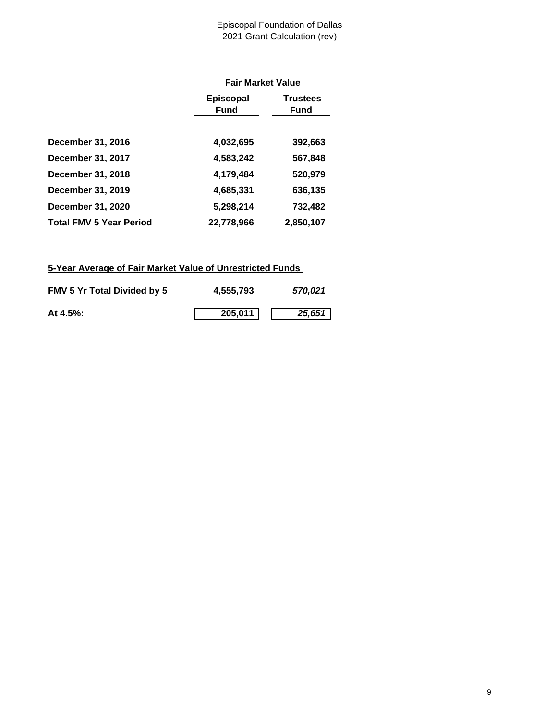#### Episcopal Foundation of Dallas 2021 Grant Calculation (rev)

|                                | <b>Fair Market Value</b>        |                                |  |  |  |
|--------------------------------|---------------------------------|--------------------------------|--|--|--|
|                                | <b>Episcopal</b><br><b>Fund</b> | <b>Trustees</b><br><b>Fund</b> |  |  |  |
| <b>December 31, 2016</b>       | 4,032,695                       | 392,663                        |  |  |  |
| December 31, 2017              | 4,583,242                       | 567,848                        |  |  |  |
| December 31, 2018              | 4,179,484                       | 520,979                        |  |  |  |
| December 31, 2019              | 4,685,331                       | 636,135                        |  |  |  |
| December 31, 2020              | 5,298,214                       | 732,482                        |  |  |  |
| <b>Total FMV 5 Year Period</b> | 22,778,966                      | 2,850,107                      |  |  |  |

# **5-Year Average of Fair Market Value of Unrestricted Funds**

| <b>FMV 5 Yr Total Divided by 5</b> | 4,555,793 | 570.021 |
|------------------------------------|-----------|---------|
| At $4.5\%$ :                       | 205,011   | 25,651  |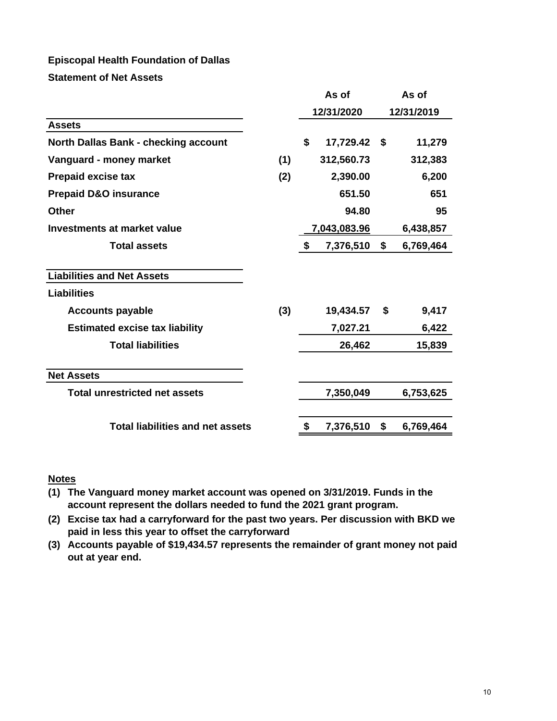# **Episcopal Health Foundation of Dallas**

**Statement of Net Assets**

|                                             |     | As of           |     | As of      |
|---------------------------------------------|-----|-----------------|-----|------------|
|                                             |     | 12/31/2020      |     | 12/31/2019 |
| <b>Assets</b>                               |     |                 |     |            |
| <b>North Dallas Bank - checking account</b> |     | \$<br>17,729.42 | -\$ | 11,279     |
| Vanguard - money market                     | (1) | 312,560.73      |     | 312,383    |
| <b>Prepaid excise tax</b>                   | (2) | 2,390.00        |     | 6,200      |
| <b>Prepaid D&amp;O insurance</b>            |     | 651.50          |     | 651        |
| <b>Other</b>                                |     | 94.80           |     | 95         |
| Investments at market value                 |     | 7,043,083.96    |     | 6,438,857  |
| <b>Total assets</b>                         |     | \$<br>7,376,510 | \$  | 6,769,464  |
| <b>Liabilities and Net Assets</b>           |     |                 |     |            |
| <b>Liabilities</b>                          |     |                 |     |            |
| <b>Accounts payable</b>                     | (3) | 19,434.57       | \$  | 9,417      |
| <b>Estimated excise tax liability</b>       |     | 7,027.21        |     | 6,422      |
| <b>Total liabilities</b>                    |     | 26,462          |     | 15,839     |
| <b>Net Assets</b>                           |     |                 |     |            |
| <b>Total unrestricted net assets</b>        |     | 7,350,049       |     | 6,753,625  |
|                                             |     |                 |     |            |
| <b>Total liabilities and net assets</b>     |     | \$<br>7,376,510 | \$  | 6,769,464  |
|                                             |     |                 |     |            |

#### **Notes**

**(1) The Vanguard money market account was opened on 3/31/2019. Funds in the account represent the dollars needed to fund the 2021 grant program.**

**(2) Excise tax had a carryforward for the past two years. Per discussion with BKD we paid in less this year to offset the carryforward**

**(3) Accounts payable of \$19,434.57 represents the remainder of grant money not paid out at year end.**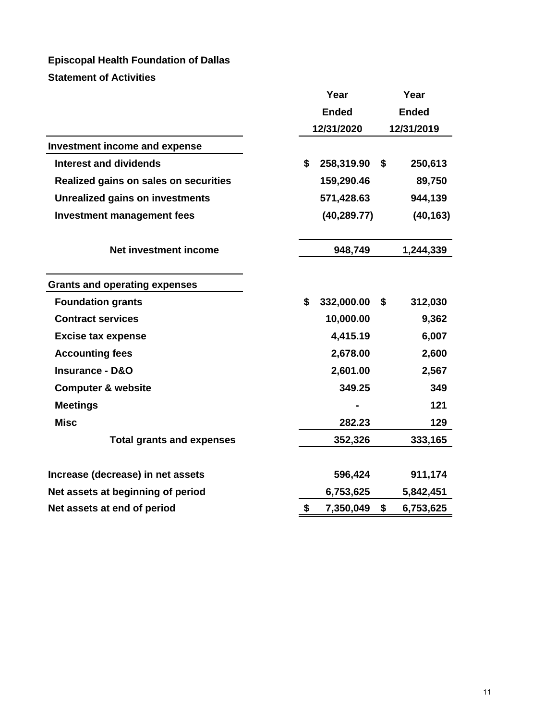# **Episcopal Health Foundation of Dallas Statement of Activities**

|                                        | Year                |    | Year         |  |
|----------------------------------------|---------------------|----|--------------|--|
|                                        | <b>Ended</b>        |    | <b>Ended</b> |  |
|                                        | 12/31/2020          |    | 12/31/2019   |  |
| <b>Investment income and expense</b>   |                     |    |              |  |
| <b>Interest and dividends</b>          | \$<br>258,319.90 \$ |    | 250,613      |  |
| Realized gains on sales on securities  | 159,290.46          |    | 89,750       |  |
| <b>Unrealized gains on investments</b> | 571,428.63          |    | 944,139      |  |
| <b>Investment management fees</b>      | (40, 289.77)        |    | (40, 163)    |  |
| Net investment income                  | 948,749             |    | 1,244,339    |  |
| <b>Grants and operating expenses</b>   |                     |    |              |  |
| <b>Foundation grants</b>               | \$<br>332,000.00    | \$ | 312,030      |  |
| <b>Contract services</b>               | 10,000.00           |    | 9,362        |  |
| <b>Excise tax expense</b>              | 4,415.19            |    | 6,007        |  |
| <b>Accounting fees</b>                 | 2,678.00            |    | 2,600        |  |
| <b>Insurance - D&amp;O</b>             | 2,601.00            |    | 2,567        |  |
| <b>Computer &amp; website</b>          | 349.25              |    | 349          |  |
| <b>Meetings</b>                        |                     |    | 121          |  |
| <b>Misc</b>                            | 282.23              |    | 129          |  |
| <b>Total grants and expenses</b>       | 352,326             |    | 333,165      |  |
| Increase (decrease) in net assets      | 596,424             |    | 911,174      |  |
| Net assets at beginning of period      | 6,753,625           |    | 5,842,451    |  |
| Net assets at end of period            | \$<br>7,350,049     | \$ | 6,753,625    |  |
|                                        |                     |    |              |  |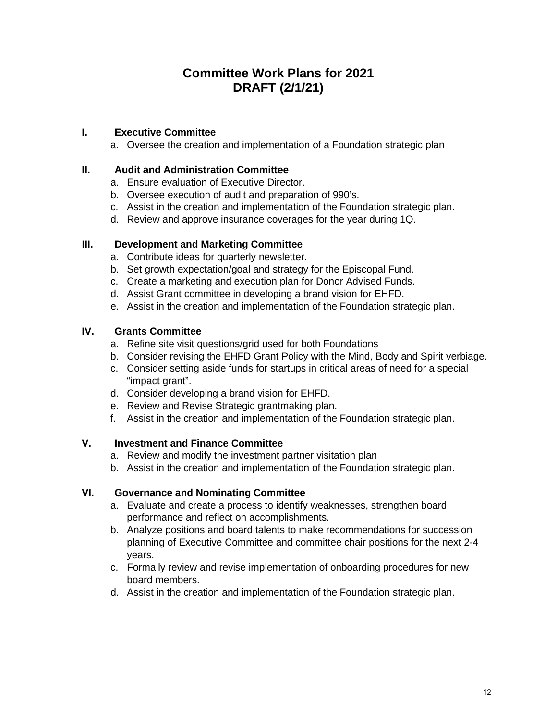# **Committee Work Plans for 2021 DRAFT (2/1/21)**

# **I. Executive Committee**

a. Oversee the creation and implementation of a Foundation strategic plan

### **II. Audit and Administration Committee**

- a. Ensure evaluation of Executive Director.
- b. Oversee execution of audit and preparation of 990's.
- c. Assist in the creation and implementation of the Foundation strategic plan.
- d. Review and approve insurance coverages for the year during 1Q.

### **III. Development and Marketing Committee**

- a. Contribute ideas for quarterly newsletter.
- b. Set growth expectation/goal and strategy for the Episcopal Fund.
- c. Create a marketing and execution plan for Donor Advised Funds.
- d. Assist Grant committee in developing a brand vision for EHFD.
- e. Assist in the creation and implementation of the Foundation strategic plan.

### **IV. Grants Committee**

- a. Refine site visit questions/grid used for both Foundations
- b. Consider revising the EHFD Grant Policy with the Mind, Body and Spirit verbiage.
- c. Consider setting aside funds for startups in critical areas of need for a special "impact grant".
- d. Consider developing a brand vision for EHFD.
- e. Review and Revise Strategic grantmaking plan.
- f. Assist in the creation and implementation of the Foundation strategic plan.

### **V. Investment and Finance Committee**

- a. Review and modify the investment partner visitation plan
- b. Assist in the creation and implementation of the Foundation strategic plan.

# **VI. Governance and Nominating Committee**

- a. Evaluate and create a process to identify weaknesses, strengthen board performance and reflect on accomplishments.
- b. Analyze positions and board talents to make recommendations for succession planning of Executive Committee and committee chair positions for the next 2-4 years.
- c. Formally review and revise implementation of onboarding procedures for new board members.
- d. Assist in the creation and implementation of the Foundation strategic plan.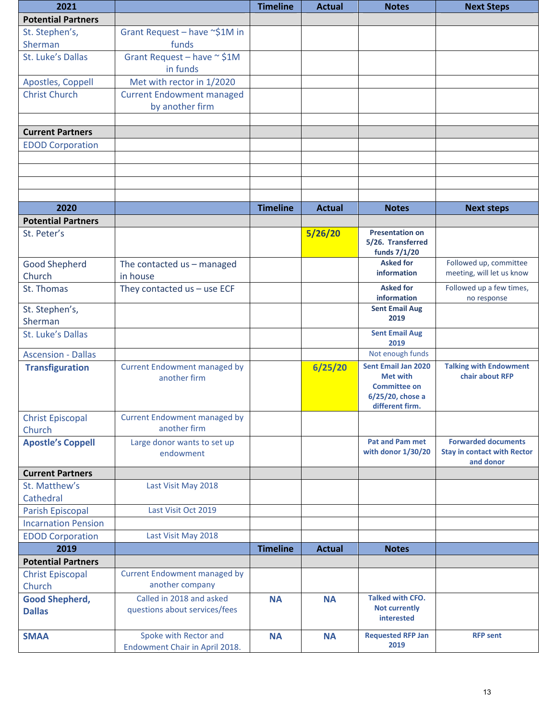| 2021                                   |                                                           | <b>Timeline</b> | <b>Actual</b> | <b>Notes</b>                                                                                         | <b>Next Steps</b>                                                             |
|----------------------------------------|-----------------------------------------------------------|-----------------|---------------|------------------------------------------------------------------------------------------------------|-------------------------------------------------------------------------------|
| <b>Potential Partners</b>              |                                                           |                 |               |                                                                                                      |                                                                               |
| St. Stephen's,                         | Grant Request - have ~\$1M in                             |                 |               |                                                                                                      |                                                                               |
| Sherman                                | funds                                                     |                 |               |                                                                                                      |                                                                               |
| St. Luke's Dallas                      | Grant Request - have $\sim$ \$1M<br>in funds              |                 |               |                                                                                                      |                                                                               |
| Apostles, Coppell                      | Met with rector in 1/2020                                 |                 |               |                                                                                                      |                                                                               |
| <b>Christ Church</b>                   | <b>Current Endowment managed</b>                          |                 |               |                                                                                                      |                                                                               |
|                                        | by another firm                                           |                 |               |                                                                                                      |                                                                               |
| <b>Current Partners</b>                |                                                           |                 |               |                                                                                                      |                                                                               |
| <b>EDOD Corporation</b>                |                                                           |                 |               |                                                                                                      |                                                                               |
|                                        |                                                           |                 |               |                                                                                                      |                                                                               |
|                                        |                                                           |                 |               |                                                                                                      |                                                                               |
|                                        |                                                           |                 |               |                                                                                                      |                                                                               |
|                                        |                                                           |                 |               |                                                                                                      |                                                                               |
| 2020                                   |                                                           | <b>Timeline</b> | <b>Actual</b> | <b>Notes</b>                                                                                         | <b>Next steps</b>                                                             |
| <b>Potential Partners</b>              |                                                           |                 |               |                                                                                                      |                                                                               |
| St. Peter's                            |                                                           |                 | 5/26/20       | <b>Presentation on</b><br>5/26. Transferred                                                          |                                                                               |
|                                        |                                                           |                 |               | funds 7/1/20                                                                                         |                                                                               |
| <b>Good Shepherd</b>                   | The contacted us - managed                                |                 |               | <b>Asked for</b>                                                                                     | Followed up, committee                                                        |
| Church                                 | in house                                                  |                 |               | information                                                                                          | meeting, will let us know                                                     |
| St. Thomas                             | They contacted $us - use ECF$                             |                 |               | <b>Asked for</b><br>information                                                                      | Followed up a few times,<br>no response                                       |
| St. Stephen's,                         |                                                           |                 |               | <b>Sent Email Aug</b>                                                                                |                                                                               |
| Sherman                                |                                                           |                 |               | 2019                                                                                                 |                                                                               |
| St. Luke's Dallas                      |                                                           |                 |               | <b>Sent Email Aug</b><br>2019                                                                        |                                                                               |
| <b>Ascension - Dallas</b>              |                                                           |                 |               | Not enough funds                                                                                     |                                                                               |
| <b>Transfiguration</b>                 | <b>Current Endowment managed by</b><br>another firm       |                 | 6/25/20       | <b>Sent Email Jan 2020</b><br>Met with<br><b>Committee on</b><br>6/25/20, chose a<br>different firm. | <b>Talking with Endowment</b><br>chair about RFP                              |
| <b>Christ Episcopal</b>                | <b>Current Endowment managed by</b>                       |                 |               |                                                                                                      |                                                                               |
| Church                                 | another firm                                              |                 |               |                                                                                                      |                                                                               |
| <b>Apostle's Coppell</b>               | Large donor wants to set up<br>endowment                  |                 |               | <b>Pat and Pam met</b><br>with donor 1/30/20                                                         | <b>Forwarded documents</b><br><b>Stay in contact with Rector</b><br>and donor |
| <b>Current Partners</b>                |                                                           |                 |               |                                                                                                      |                                                                               |
| St. Matthew's                          | Last Visit May 2018                                       |                 |               |                                                                                                      |                                                                               |
| Cathedral                              |                                                           |                 |               |                                                                                                      |                                                                               |
| <b>Parish Episcopal</b>                | Last Visit Oct 2019                                       |                 |               |                                                                                                      |                                                                               |
| <b>Incarnation Pension</b>             |                                                           |                 |               |                                                                                                      |                                                                               |
| <b>EDOD Corporation</b>                | Last Visit May 2018                                       |                 |               |                                                                                                      |                                                                               |
| 2019                                   |                                                           | <b>Timeline</b> | <b>Actual</b> | <b>Notes</b>                                                                                         |                                                                               |
| <b>Potential Partners</b>              |                                                           |                 |               |                                                                                                      |                                                                               |
| <b>Christ Episcopal</b>                | <b>Current Endowment managed by</b>                       |                 |               |                                                                                                      |                                                                               |
| Church                                 | another company                                           |                 |               |                                                                                                      |                                                                               |
| <b>Good Shepherd,</b><br><b>Dallas</b> | Called in 2018 and asked<br>questions about services/fees | <b>NA</b>       | <b>NA</b>     | <b>Talked with CFO.</b><br><b>Not currently</b><br>interested                                        |                                                                               |
| <b>SMAA</b>                            | Spoke with Rector and<br>Endowment Chair in April 2018.   | <b>NA</b>       | <b>NA</b>     | <b>Requested RFP Jan</b><br>2019                                                                     | <b>RFP sent</b>                                                               |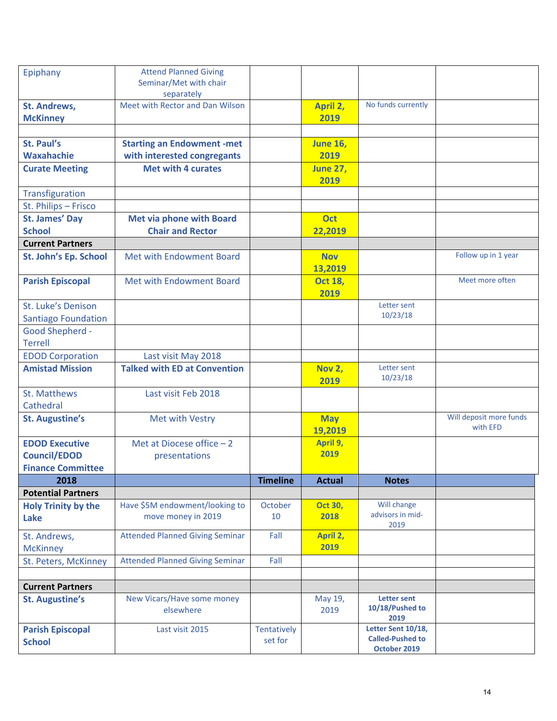|                            | <b>Attend Planned Giving</b>           |                 |                 |                                       |                         |
|----------------------------|----------------------------------------|-----------------|-----------------|---------------------------------------|-------------------------|
| Epiphany                   | Seminar/Met with chair                 |                 |                 |                                       |                         |
|                            | separately                             |                 |                 |                                       |                         |
| <b>St. Andrews,</b>        | Meet with Rector and Dan Wilson        |                 | April 2,        | No funds currently                    |                         |
| <b>McKinney</b>            |                                        |                 | 2019            |                                       |                         |
|                            |                                        |                 |                 |                                       |                         |
| St. Paul's                 | <b>Starting an Endowment -met</b>      |                 | <b>June 16,</b> |                                       |                         |
| <b>Waxahachie</b>          | with interested congregants            |                 | 2019            |                                       |                         |
| <b>Curate Meeting</b>      | <b>Met with 4 curates</b>              |                 | <b>June 27,</b> |                                       |                         |
|                            |                                        |                 | 2019            |                                       |                         |
| Transfiguration            |                                        |                 |                 |                                       |                         |
| St. Philips - Frisco       |                                        |                 |                 |                                       |                         |
| <b>St. James' Day</b>      | <b>Met via phone with Board</b>        |                 | <b>Oct</b>      |                                       |                         |
| <b>School</b>              | <b>Chair and Rector</b>                |                 | 22,2019         |                                       |                         |
| <b>Current Partners</b>    |                                        |                 |                 |                                       |                         |
| St. John's Ep. School      | Met with Endowment Board               |                 | <b>Nov</b>      |                                       | Follow up in 1 year     |
|                            |                                        |                 | 13,2019         |                                       |                         |
| <b>Parish Episcopal</b>    | Met with Endowment Board               |                 | <b>Oct 18,</b>  |                                       | Meet more often         |
|                            |                                        |                 | 2019            |                                       |                         |
| St. Luke's Denison         |                                        |                 |                 | Letter sent                           |                         |
| <b>Santiago Foundation</b> |                                        |                 |                 | 10/23/18                              |                         |
| <b>Good Shepherd -</b>     |                                        |                 |                 |                                       |                         |
| <b>Terrell</b>             |                                        |                 |                 |                                       |                         |
| <b>EDOD Corporation</b>    | Last visit May 2018                    |                 |                 |                                       |                         |
| <b>Amistad Mission</b>     | <b>Talked with ED at Convention</b>    |                 | <b>Nov 2,</b>   | Letter sent                           |                         |
|                            |                                        |                 | 2019            | 10/23/18                              |                         |
| <b>St. Matthews</b>        | Last visit Feb 2018                    |                 |                 |                                       |                         |
| Cathedral                  |                                        |                 |                 |                                       |                         |
| <b>St. Augustine's</b>     | Met with Vestry                        |                 | <b>May</b>      |                                       | Will deposit more funds |
|                            |                                        |                 | 19,2019         |                                       | with EFD                |
| <b>EDOD Executive</b>      | Met at Diocese office $-2$             |                 | April 9,        |                                       |                         |
| <b>Council/EDOD</b>        | presentations                          |                 | 2019            |                                       |                         |
| <b>Finance Committee</b>   |                                        |                 |                 |                                       |                         |
| 2018                       |                                        | <b>Timeline</b> | <b>Actual</b>   | <b>Notes</b>                          |                         |
| <b>Potential Partners</b>  |                                        |                 |                 |                                       |                         |
| <b>Holy Trinity by the</b> | Have \$5M endowment/looking to         | October         | <b>Oct 30,</b>  | Will change                           |                         |
| Lake                       | move money in 2019                     | 10              | 2018            | advisors in mid-<br>2019              |                         |
| St. Andrews,               | <b>Attended Planned Giving Seminar</b> | Fall            | April 2,        |                                       |                         |
| <b>McKinney</b>            |                                        |                 | 2019            |                                       |                         |
| St. Peters, McKinney       | <b>Attended Planned Giving Seminar</b> | Fall            |                 |                                       |                         |
|                            |                                        |                 |                 |                                       |                         |
| <b>Current Partners</b>    |                                        |                 |                 |                                       |                         |
| <b>St. Augustine's</b>     | New Vicars/Have some money             |                 | May 19,         | <b>Letter sent</b><br>10/18/Pushed to |                         |
|                            | elsewhere                              |                 | 2019            | 2019                                  |                         |
| <b>Parish Episcopal</b>    | Last visit 2015                        | Tentatively     |                 | Letter Sent 10/18,                    |                         |
| <b>School</b>              |                                        | set for         |                 | <b>Called-Pushed to</b>               |                         |
|                            |                                        |                 |                 | October 2019                          |                         |